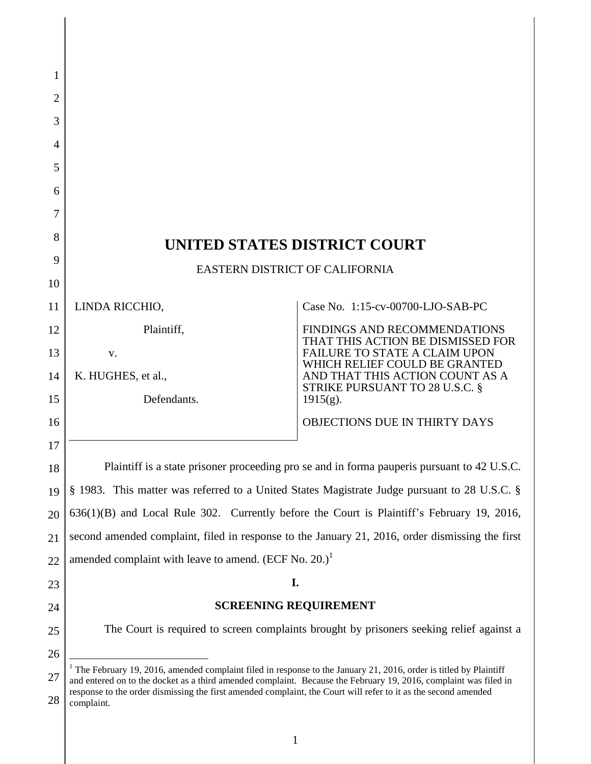| 1        |                                                                                                                                                                                                                                                  |                                                                          |
|----------|--------------------------------------------------------------------------------------------------------------------------------------------------------------------------------------------------------------------------------------------------|--------------------------------------------------------------------------|
| 2        |                                                                                                                                                                                                                                                  |                                                                          |
| 3        |                                                                                                                                                                                                                                                  |                                                                          |
| 4<br>5   |                                                                                                                                                                                                                                                  |                                                                          |
| 6        |                                                                                                                                                                                                                                                  |                                                                          |
| 7        |                                                                                                                                                                                                                                                  |                                                                          |
| 8        |                                                                                                                                                                                                                                                  |                                                                          |
| 9        | UNITED STATES DISTRICT COURT                                                                                                                                                                                                                     |                                                                          |
| 10       | EASTERN DISTRICT OF CALIFORNIA                                                                                                                                                                                                                   |                                                                          |
| 11       | LINDA RICCHIO,                                                                                                                                                                                                                                   | Case No. 1:15-cv-00700-LJO-SAB-PC                                        |
| 12       | Plaintiff,                                                                                                                                                                                                                                       | <b>FINDINGS AND RECOMMENDATIONS</b><br>THAT THIS ACTION BE DISMISSED FOR |
| 13       | V.                                                                                                                                                                                                                                               | <b>FAILURE TO STATE A CLAIM UPON</b><br>WHICH RELIEF COULD BE GRANTED    |
| 14       | K. HUGHES, et al.,                                                                                                                                                                                                                               | AND THAT THIS ACTION COUNT AS A<br>STRIKE PURSUANT TO 28 U.S.C. §        |
| 15       | Defendants.                                                                                                                                                                                                                                      | $1915(g)$ .                                                              |
| 16       |                                                                                                                                                                                                                                                  | <b>OBJECTIONS DUE IN THIRTY DAYS</b>                                     |
| 17       |                                                                                                                                                                                                                                                  |                                                                          |
| 18       | Plaintiff is a state prisoner proceeding pro se and in forma pauperis pursuant to 42 U.S.C.                                                                                                                                                      |                                                                          |
| 19       | § 1983. This matter was referred to a United States Magistrate Judge pursuant to 28 U.S.C. §                                                                                                                                                     |                                                                          |
| 20       | $636(1)(B)$ and Local Rule 302. Currently before the Court is Plaintiff's February 19, 2016,                                                                                                                                                     |                                                                          |
| 21       | second amended complaint, filed in response to the January 21, 2016, order dismissing the first                                                                                                                                                  |                                                                          |
| 22       | amended complaint with leave to amend. (ECF No. 20.) <sup>1</sup><br>I.                                                                                                                                                                          |                                                                          |
| 23       | <b>SCREENING REQUIREMENT</b>                                                                                                                                                                                                                     |                                                                          |
| 24<br>25 | The Court is required to screen complaints brought by prisoners seeking relief against a                                                                                                                                                         |                                                                          |
| 26       |                                                                                                                                                                                                                                                  |                                                                          |
| 27       | <sup>1</sup> The February 19, 2016, amended complaint filed in response to the January 21, 2016, order is titled by Plaintiff                                                                                                                    |                                                                          |
| 28       | and entered on to the docket as a third amended complaint. Because the February 19, 2016, complaint was filed in<br>response to the order dismissing the first amended complaint, the Court will refer to it as the second amended<br>complaint. |                                                                          |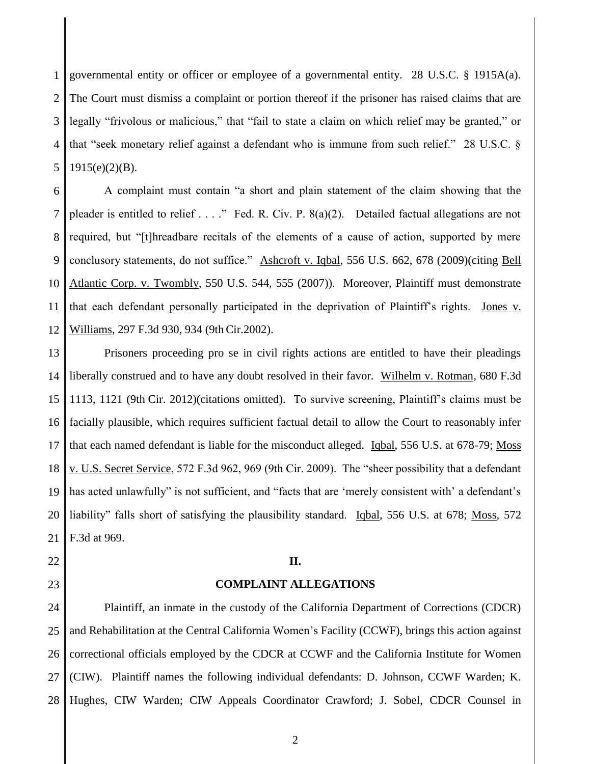1 2 3 4 5 governmental entity or officer or employee of a governmental entity. 28 U.S.C. § 1915A(a). The Court must dismiss a complaint or portion thereof if the prisoner has raised claims that are legally "frivolous or malicious," that "fail to state a claim on which relief may be granted," or that "seek monetary relief against a defendant who is immune from such relief." 28 U.S.C. §  $1915(e)(2)(B)$ .

6 7 8 9 10 11 12 A complaint must contain "a short and plain statement of the claim showing that the pleader is entitled to relief . . . ." Fed. R. Civ. P. 8(a)(2). Detailed factual allegations are not required, but "[t]hreadbare recitals of the elements of a cause of action, supported by mere conclusory statements, do not suffice." Ashcroft v. Iqbal, 556 U.S. 662, 678 (2009)(citing Bell Atlantic Corp. v. Twombly, 550 U.S. 544, 555 (2007)). Moreover, Plaintiff must demonstrate that each defendant personally participated in the deprivation of Plaintiff"s rights. Jones v. Williams, 297 F.3d 930, 934 (9th Cir.2002).

13 14 15 16 17 18 19 20 21 Prisoners proceeding pro se in civil rights actions are entitled to have their pleadings liberally construed and to have any doubt resolved in their favor. Wilhelm v. Rotman, 680 F.3d 1113, 1121 (9th Cir. 2012)(citations omitted). To survive screening, Plaintiff"s claims must be facially plausible, which requires sufficient factual detail to allow the Court to reasonably infer that each named defendant is liable for the misconduct alleged. Igbal, 556 U.S. at 678-79; Moss v. U.S. Secret Service, 572 F.3d 962, 969 (9th Cir. 2009). The "sheer possibility that a defendant has acted unlawfully" is not sufficient, and "facts that are 'merely consistent with' a defendant's liability" falls short of satisfying the plausibility standard. Igbal, 556 U.S. at 678; Moss, 572 F.3d at 969.

# **II.**

22

23

### **COMPLAINT ALLEGATIONS**

24 25 26 27 28 Plaintiff, an inmate in the custody of the California Department of Corrections (CDCR) and Rehabilitation at the Central California Women"s Facility (CCWF), brings this action against correctional officials employed by the CDCR at CCWF and the California Institute for Women (CIW). Plaintiff names the following individual defendants: D. Johnson, CCWF Warden; K. Hughes, CIW Warden; CIW Appeals Coordinator Crawford; J. Sobel, CDCR Counsel in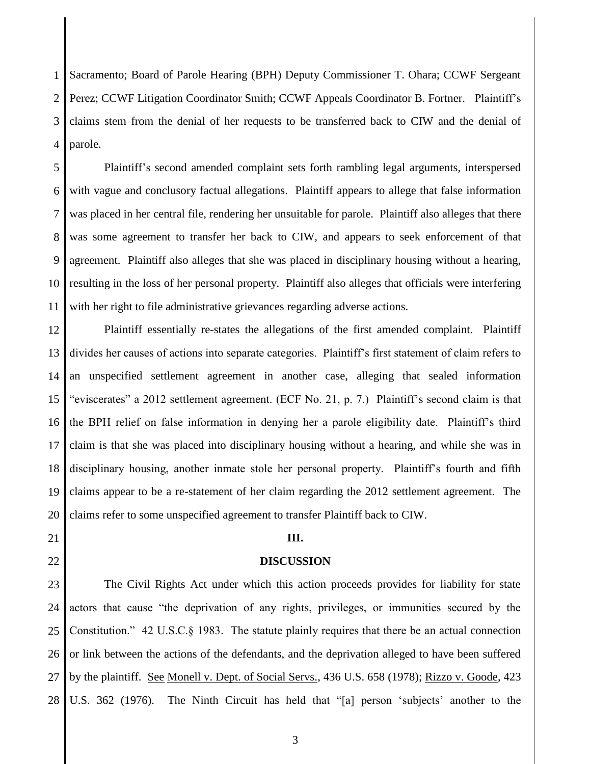1 2 3 4 Sacramento; Board of Parole Hearing (BPH) Deputy Commissioner T. Ohara; CCWF Sergeant Perez; CCWF Litigation Coordinator Smith; CCWF Appeals Coordinator B. Fortner. Plaintiff's claims stem from the denial of her requests to be transferred back to CIW and the denial of parole.

5 6 7 8 9 10 11 Plaintiff"s second amended complaint sets forth rambling legal arguments, interspersed with vague and conclusory factual allegations. Plaintiff appears to allege that false information was placed in her central file, rendering her unsuitable for parole. Plaintiff also alleges that there was some agreement to transfer her back to CIW, and appears to seek enforcement of that agreement. Plaintiff also alleges that she was placed in disciplinary housing without a hearing, resulting in the loss of her personal property. Plaintiff also alleges that officials were interfering with her right to file administrative grievances regarding adverse actions.

12 13 14 15 16 17 18 19 20 Plaintiff essentially re-states the allegations of the first amended complaint. Plaintiff divides her causes of actions into separate categories. Plaintiff"s first statement of claim refers to an unspecified settlement agreement in another case, alleging that sealed information "eviscerates" a 2012 settlement agreement. (ECF No. 21, p. 7.) Plaintiff"s second claim is that the BPH relief on false information in denying her a parole eligibility date. Plaintiff"s third claim is that she was placed into disciplinary housing without a hearing, and while she was in disciplinary housing, another inmate stole her personal property. Plaintiff"s fourth and fifth claims appear to be a re-statement of her claim regarding the 2012 settlement agreement. The claims refer to some unspecified agreement to transfer Plaintiff back to CIW.

# **III.**

21

22

### **DISCUSSION**

23 24 25 26 27 28 The Civil Rights Act under which this action proceeds provides for liability for state actors that cause "the deprivation of any rights, privileges, or immunities secured by the Constitution." 42 U.S.C.§ 1983. The statute plainly requires that there be an actual connection or link between the actions of the defendants, and the deprivation alleged to have been suffered by the plaintiff. See Monell v. Dept. of Social Servs., 436 U.S. 658 (1978); Rizzo v. Goode, 423 U.S. 362 (1976). The Ninth Circuit has held that "[a] person 'subjects' another to the

3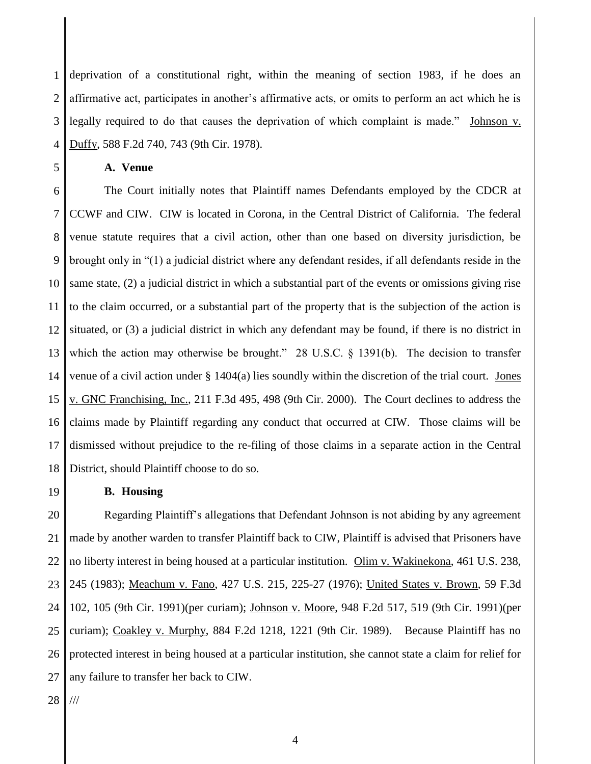1 2 3 4 deprivation of a constitutional right, within the meaning of section 1983, if he does an affirmative act, participates in another"s affirmative acts, or omits to perform an act which he is legally required to do that causes the deprivation of which complaint is made." Johnson v. Duffy, 588 F.2d 740, 743 (9th Cir. 1978).

5

# **A. Venue**

6 7 8 9 10 11 12 13 14 15 16 17 18 The Court initially notes that Plaintiff names Defendants employed by the CDCR at CCWF and CIW. CIW is located in Corona, in the Central District of California. The federal venue statute requires that a civil action, other than one based on diversity jurisdiction, be brought only in "(1) a judicial district where any defendant resides, if all defendants reside in the same state, (2) a judicial district in which a substantial part of the events or omissions giving rise to the claim occurred, or a substantial part of the property that is the subjection of the action is situated, or (3) a judicial district in which any defendant may be found, if there is no district in which the action may otherwise be brought." 28 U.S.C. § 1391(b). The decision to transfer venue of a civil action under § 1404(a) lies soundly within the discretion of the trial court. Jones v. GNC Franchising, Inc., 211 F.3d 495, 498 (9th Cir. 2000). The Court declines to address the claims made by Plaintiff regarding any conduct that occurred at CIW. Those claims will be dismissed without prejudice to the re-filing of those claims in a separate action in the Central District, should Plaintiff choose to do so.

#### **B. Housing**

20 21 22 23 24 25 26 27 Regarding Plaintiff"s allegations that Defendant Johnson is not abiding by any agreement made by another warden to transfer Plaintiff back to CIW, Plaintiff is advised that Prisoners have no liberty interest in being housed at a particular institution. Olim v. Wakinekona, 461 U.S. 238, 245 (1983); Meachum v. Fano, 427 U.S. 215, 225-27 (1976); United States v. Brown, 59 F.3d 102, 105 (9th Cir. 1991)(per curiam); Johnson v. Moore, 948 F.2d 517, 519 (9th Cir. 1991)(per curiam); Coakley v. Murphy, 884 F.2d 1218, 1221 (9th Cir. 1989). Because Plaintiff has no protected interest in being housed at a particular institution, she cannot state a claim for relief for any failure to transfer her back to CIW.

28 ///

19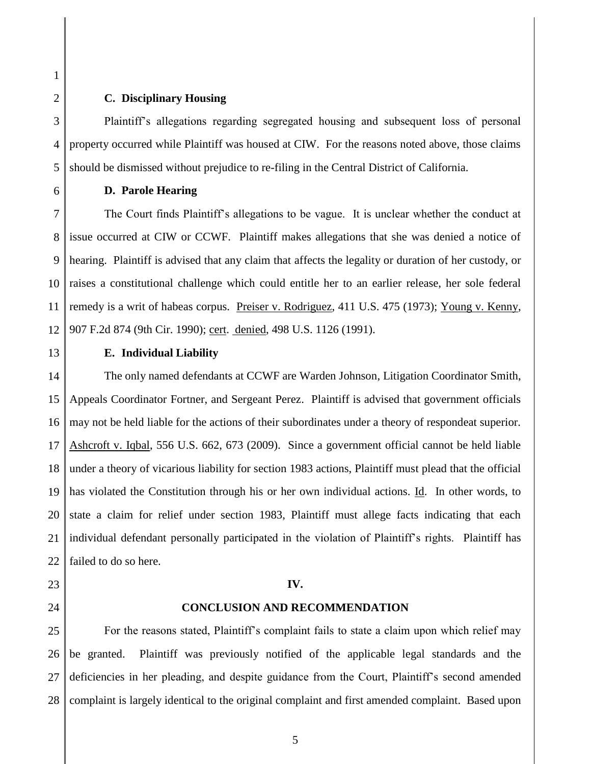2 3 4

5

6

1

# **C. Disciplinary Housing**

Plaintiff"s allegations regarding segregated housing and subsequent loss of personal property occurred while Plaintiff was housed at CIW. For the reasons noted above, those claims should be dismissed without prejudice to re-filing in the Central District of California.

**D. Parole Hearing**

7 8 9 10 11 12 The Court finds Plaintiff"s allegations to be vague. It is unclear whether the conduct at issue occurred at CIW or CCWF. Plaintiff makes allegations that she was denied a notice of hearing. Plaintiff is advised that any claim that affects the legality or duration of her custody, or raises a constitutional challenge which could entitle her to an earlier release, her sole federal remedy is a writ of habeas corpus. Preiser v. Rodriguez, 411 U.S. 475 (1973); Young v. Kenny, 907 F.2d 874 (9th Cir. 1990); cert. denied, 498 U.S. 1126 (1991).

13

23

24

# **E. Individual Liability**

14 15 16 17 18 19 20 21 22 The only named defendants at CCWF are Warden Johnson, Litigation Coordinator Smith, Appeals Coordinator Fortner, and Sergeant Perez. Plaintiff is advised that government officials may not be held liable for the actions of their subordinates under a theory of respondeat superior. Ashcroft v. Iqbal, 556 U.S. 662, 673 (2009). Since a government official cannot be held liable under a theory of vicarious liability for section 1983 actions, Plaintiff must plead that the official has violated the Constitution through his or her own individual actions. Id. In other words, to state a claim for relief under section 1983, Plaintiff must allege facts indicating that each individual defendant personally participated in the violation of Plaintiff"s rights. Plaintiff has failed to do so here.

#### **IV.**

# **CONCLUSION AND RECOMMENDATION**

25 26 27 28 For the reasons stated, Plaintiff"s complaint fails to state a claim upon which relief may be granted. Plaintiff was previously notified of the applicable legal standards and the deficiencies in her pleading, and despite guidance from the Court, Plaintiff"s second amended complaint is largely identical to the original complaint and first amended complaint. Based upon